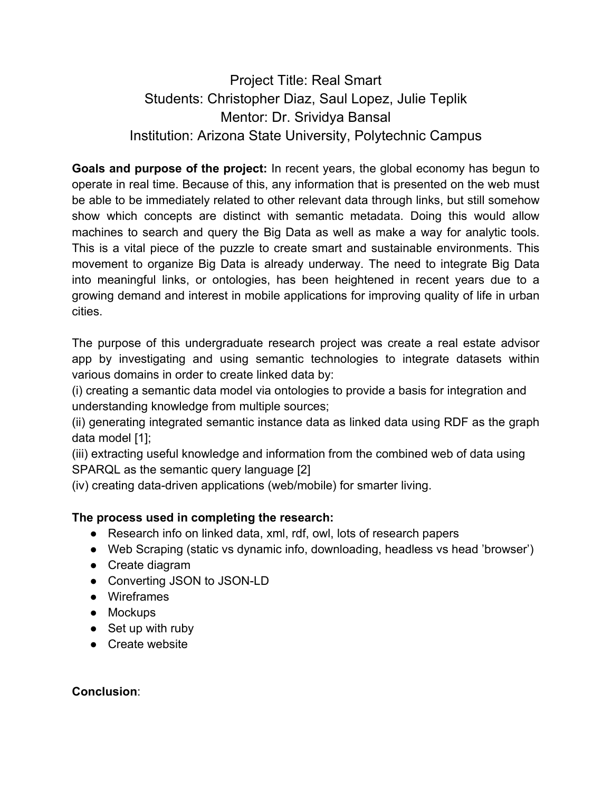# Project Title: Real Smart Students: Christopher Diaz, Saul Lopez, Julie Teplik Mentor: Dr. Srividya Bansal Institution: Arizona State University, Polytechnic Campus

**Goals and purpose of the project:** In recent years, the global economy has begun to operate in real time. Because of this, any information that is presented on the web must be able to be immediately related to other relevant data through links, but still somehow show which concepts are distinct with semantic metadata. Doing this would allow machines to search and query the Big Data as well as make a way for analytic tools. This is a vital piece of the puzzle to create smart and sustainable environments. This movement to organize Big Data is already underway. The need to integrate Big Data into meaningful links, or ontologies, has been heightened in recent years due to a growing demand and interest in mobile applications for improving quality of life in urban cities.

The purpose of this undergraduate research project was create a real estate advisor app by investigating and using semantic technologies to integrate datasets within various domains in order to create linked data by:

(i) creating a semantic data model via ontologies to provide a basis for integration and understanding knowledge from multiple sources;

(ii) generating integrated semantic instance data as linked data using RDF as the graph data model [1];

(iii) extracting useful knowledge and information from the combined web of data using SPARQL as the semantic query language [2]

(iv) creating data-driven applications (web/mobile) for smarter living.

## **The process used in completing the research:**

- Research info on linked data, xml, rdf, owl, lots of research papers
- Web Scraping (static vs dynamic info, downloading, headless vs head 'browser')
- Create diagram
- Converting JSON to JSON-LD
- Wireframes
- Mockups
- Set up with ruby
- Create website

### **Conclusion**: